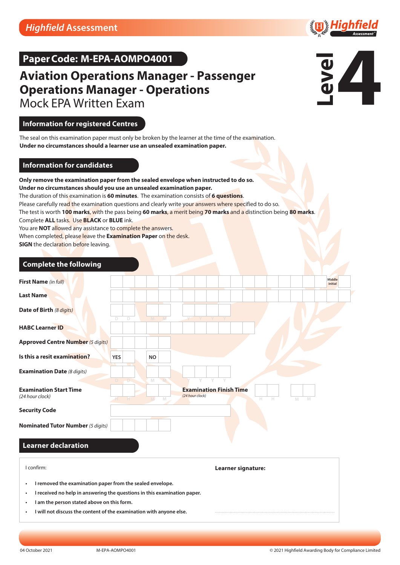

### **Paper Code: M-EPA-AOMPO4001**

# **Paper Code: M-EPA-AOMP04001<br>
<b>4 Aviation Operations Manager - Passenger**<br> **4 Operations Manager - Operations**<br>
Mock EPA Written Exam **Operations Manager - Operations**  Mock EPA Written Exam

# **Level**

**Middle initial**

#### **Information for registered Centres**

The seal on this examination paper must only be broken by the learner at the time of the examination. **Under no circumstances should a learner use an unsealed examination paper.**

#### **Information for candidates**

#### **Only remove the examination paper from the sealed envelope when instructed to do so. Under no circumstances should you use an unsealed examination paper.** The duration of this examination is **60 minutes**. The examination consists of **6 questions**. Please carefully read the examination questions and clearly write your answers where specified to do so. The test is worth **100 marks**, with the pass being **60 marks**, a merit being **70 marks** and a distinction being **80 marks**. Complete **ALL** tasks. Use **BLACK** or **BLUE** ink. You are **NOT** allowed any assistance to complete the answers. When completed, please leave the **Examination Paper** on the desk. **SIGN** the declaration before leaving. **Complete the following First Name** *(in full)*

| <b>Last Name</b>                                                         |            |               |                                                   |        |
|--------------------------------------------------------------------------|------------|---------------|---------------------------------------------------|--------|
| Date of Birth (8 digits)                                                 | D.<br>D    | M<br>M        |                                                   |        |
| <b>HABC Learner ID</b>                                                   |            |               |                                                   |        |
| <b>Approved Centre Number (5 digits)</b>                                 |            |               |                                                   |        |
| Is this a resit examination?                                             | <b>YES</b> | <b>NO</b>     |                                                   |        |
| <b>Examination Date (8 digits)</b>                                       | D<br>D.    | M<br><b>M</b> | V<br>v                                            |        |
| <b>Examination Start Time</b><br>(24 hour clock)                         |            |               | <b>Examination Finish Time</b><br>(24 hour clock) | н<br>M |
| <b>Security Code</b>                                                     |            |               |                                                   |        |
| <b>Nominated Tutor Number (5 digits)</b>                                 |            |               |                                                   |        |
| <b>Learner declaration</b>                                               |            |               |                                                   |        |
| I confirm:                                                               |            |               | Learner signature:                                |        |
| I removed the examination paper from the sealed envelope.<br>$\bullet$   |            |               |                                                   |        |
| I received no help in answering the questions in this examination paper. |            |               |                                                   |        |

- **• I am the person stated above on this form.**
- **• I will not discuss the content of the examination with anyone else.**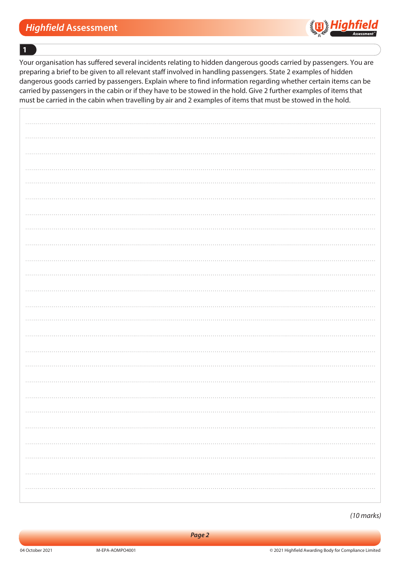

#### **1**

Your organisation has suffered several incidents relating to hidden dangerous goods carried by passengers. You are preparing a brief to be given to all relevant staff involved in handling passengers. State 2 examples of hidden dangerous goods carried by passengers. Explain where to find information regarding whether certain items can be carried by passengers in the cabin or if they have to be stowed in the hold. Give 2 further examples of items that must be carried in the cabin when travelling by air and 2 examples of items that must be stowed in the hold.

| .                          |
|----------------------------|
|                            |
|                            |
|                            |
|                            |
|                            |
|                            |
|                            |
|                            |
|                            |
|                            |
| $\cdots\cdots\cdots\cdots$ |
|                            |
|                            |
|                            |
|                            |
|                            |
|                            |
|                            |
|                            |
|                            |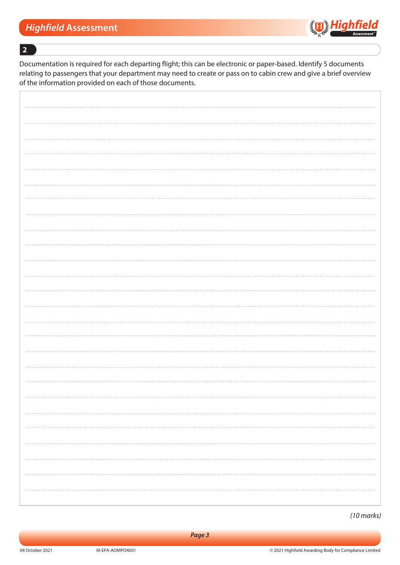

Documentation is required for each departing flight; this can be electronic or paper-based. Identify 5 documents relating to passengers that your department may need to create or pass on to cabin crew and give a brief overview of the information provided on each of those documents.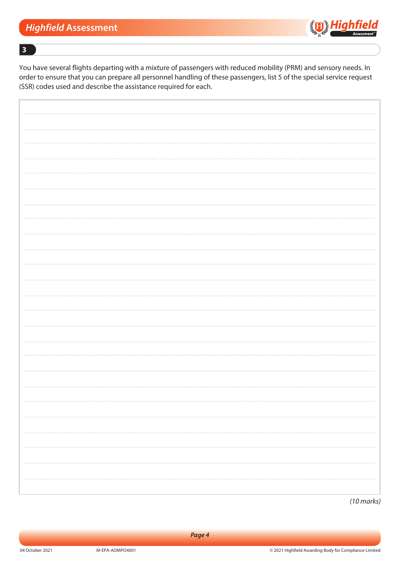

You have several flights departing with a mixture of passengers with reduced mobility (PRM) and sensory needs. In order to ensure that you can prepare all personnel handling of these passengers, list 5 of the special service request (SSR) codes used and describe the assistance required for each.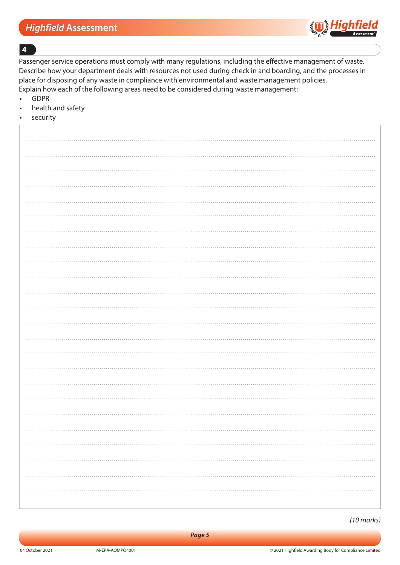

Passenger service operations must comply with many regulations, including the effective management of waste. Describe how your department deals with resources not used during check in and boarding, and the processes in place for disposing of any waste in compliance with environmental and waste management policies. Explain how each of the following areas need to be considered during waste management:

- GDPR
- health and safety
- security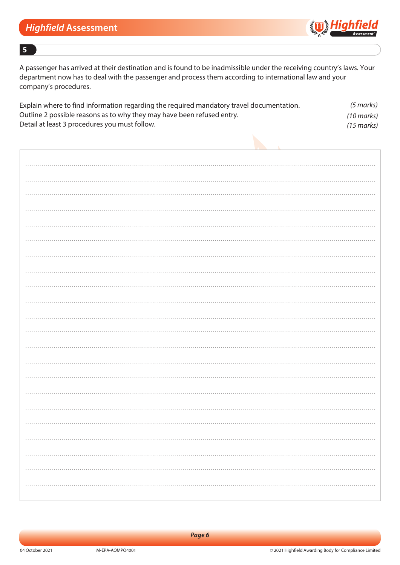

A passenger has arrived at their destination and is found to be inadmissible under the receiving country's laws. Your department now has to deal with the passenger and process them according to international law and your company's procedures.

| Explain where to find information regarding the required mandatory travel documentation. | (5 marks)            |
|------------------------------------------------------------------------------------------|----------------------|
| Outline 2 possible reasons as to why they may have been refused entry.                   | $(10 \text{ marks})$ |
| Detail at least 3 procedures you must follow.                                            | $(15$ marks)         |

| $- - - -$ |  |
|-----------|--|
|           |  |
|           |  |
|           |  |
|           |  |
|           |  |
|           |  |
|           |  |
|           |  |
|           |  |
|           |  |
|           |  |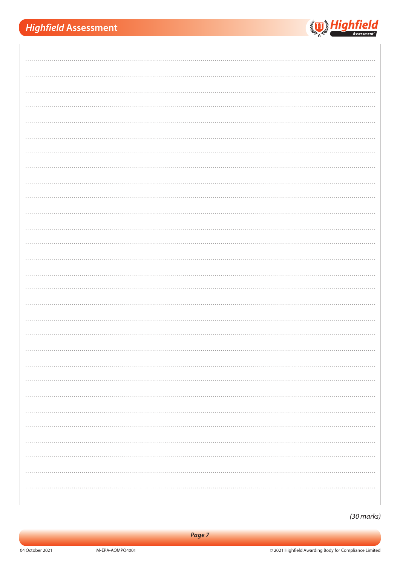

*(30 marks)*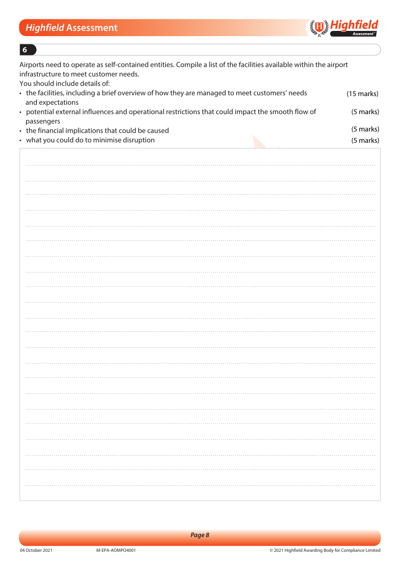

| Airports need to operate as self-contained entities. Compile a list of the facilities available within the airport |  |              |  |  |  |  |
|--------------------------------------------------------------------------------------------------------------------|--|--------------|--|--|--|--|
| infrastructure to meet customer needs.<br>You should include details of:                                           |  |              |  |  |  |  |
| • the facilities, including a brief overview of how they are managed to meet customers' needs                      |  | $(15$ marks) |  |  |  |  |
| and expectations                                                                                                   |  |              |  |  |  |  |
| • potential external influences and operational restrictions that could impact the smooth flow of                  |  | (5 marks)    |  |  |  |  |
| passengers<br>• the financial implications that could be caused                                                    |  | (5 marks)    |  |  |  |  |
| • what you could do to minimise disruption                                                                         |  | (5 marks)    |  |  |  |  |
|                                                                                                                    |  |              |  |  |  |  |
|                                                                                                                    |  |              |  |  |  |  |
|                                                                                                                    |  |              |  |  |  |  |
|                                                                                                                    |  |              |  |  |  |  |
|                                                                                                                    |  |              |  |  |  |  |
|                                                                                                                    |  |              |  |  |  |  |
|                                                                                                                    |  |              |  |  |  |  |
|                                                                                                                    |  |              |  |  |  |  |
|                                                                                                                    |  |              |  |  |  |  |
|                                                                                                                    |  |              |  |  |  |  |
|                                                                                                                    |  |              |  |  |  |  |
|                                                                                                                    |  |              |  |  |  |  |
|                                                                                                                    |  |              |  |  |  |  |
|                                                                                                                    |  |              |  |  |  |  |
|                                                                                                                    |  |              |  |  |  |  |
|                                                                                                                    |  |              |  |  |  |  |
|                                                                                                                    |  |              |  |  |  |  |
|                                                                                                                    |  |              |  |  |  |  |
|                                                                                                                    |  |              |  |  |  |  |
|                                                                                                                    |  |              |  |  |  |  |
|                                                                                                                    |  |              |  |  |  |  |
|                                                                                                                    |  |              |  |  |  |  |
|                                                                                                                    |  |              |  |  |  |  |
|                                                                                                                    |  |              |  |  |  |  |
|                                                                                                                    |  |              |  |  |  |  |
|                                                                                                                    |  |              |  |  |  |  |
|                                                                                                                    |  |              |  |  |  |  |
|                                                                                                                    |  |              |  |  |  |  |
|                                                                                                                    |  |              |  |  |  |  |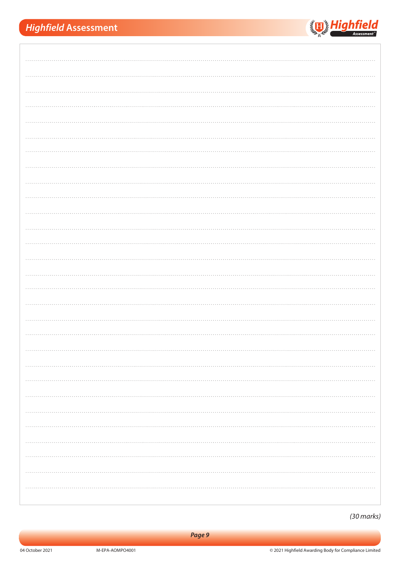

*(30 marks)*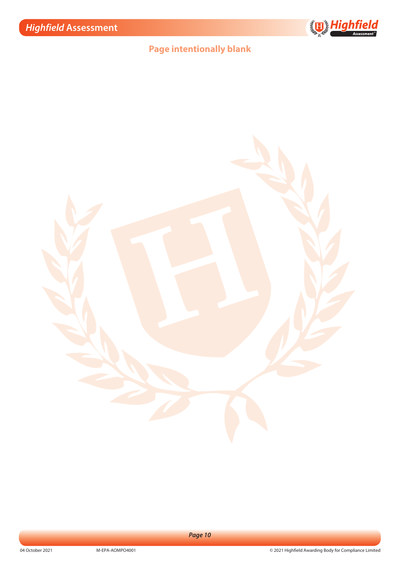

# **Page intentionally blank**



*Page 10*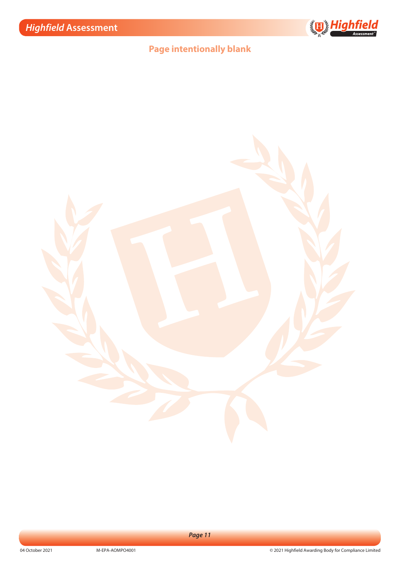

# **Page intentionally blank**



*Page 11*